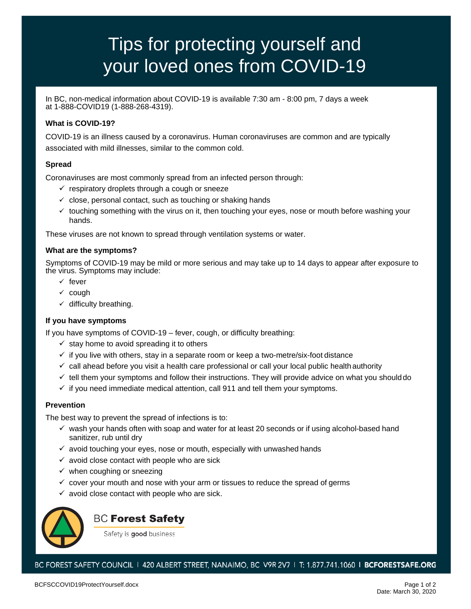# Tips for protecting yourself and your loved ones from COVID-19

In BC, non-medical information about COVID-19 is available 7:30 am - 8:00 pm, 7 days a week at 1-888-COVID19 (1-888-268-4319).

## **What is COVID-19?**

COVID-19 is an illness caused by a coronavirus. Human coronaviruses are common and are typically associated with mild illnesses, similar to the common cold.

### **Spread**

Coronaviruses are most commonly spread from an infected person through:

- $\checkmark$  respiratory droplets through a cough or sneeze
- $\checkmark$  close, personal contact, such as touching or shaking hands
- $\checkmark$  touching something with the virus on it, then touching your eyes, nose or mouth before washing your hands.

These viruses are not known to spread through ventilation systems or water.

### **What are the symptoms?**

Symptoms of COVID-19 may be mild or more serious and may take up to 14 days to appear after exposure to the virus. Symptoms may include:

- $\checkmark$  fever
- $\times$  cough
- $\checkmark$  difficulty breathing.

### **If you have symptoms**

If you have symptoms of COVID-19 – fever, cough, or difficulty breathing:

- $\checkmark$  stay home to avoid spreading it to others
- $\checkmark$  if you live with others, stay in a separate room or keep a two-metre/six-foot distance
- $\checkmark$  call ahead before you visit a health care professional or call your local public healthauthority
- $\checkmark$  tell them your symptoms and follow their instructions. They will provide advice on what you should do
- $\checkmark$  if you need immediate medical attention, call 911 and tell them your symptoms.

### **Prevention**

The best way to prevent the spread of infections is to:

- $\checkmark$  wash your hands often with soap and water for at least 20 seconds or if using alcohol-based hand sanitizer, rub until dry
- $\checkmark$  avoid touching your eyes, nose or mouth, especially with unwashed hands
- $\checkmark$  avoid close contact with people who are sick
- $\checkmark$  when coughing or sneezing
- $\checkmark$  cover your mouth and nose with your arm or tissues to reduce the spread of germs
- $\checkmark$  avoid close contact with people who are sick.



# **BC Forest Safety**

Safety is good business

BC FOREST SAFETY COUNCIL | 420 ALBERT STREET, NANAIMO, BC V9R 2V7 | T: 1.877.741.1060 | BCFORESTSAFE.ORG